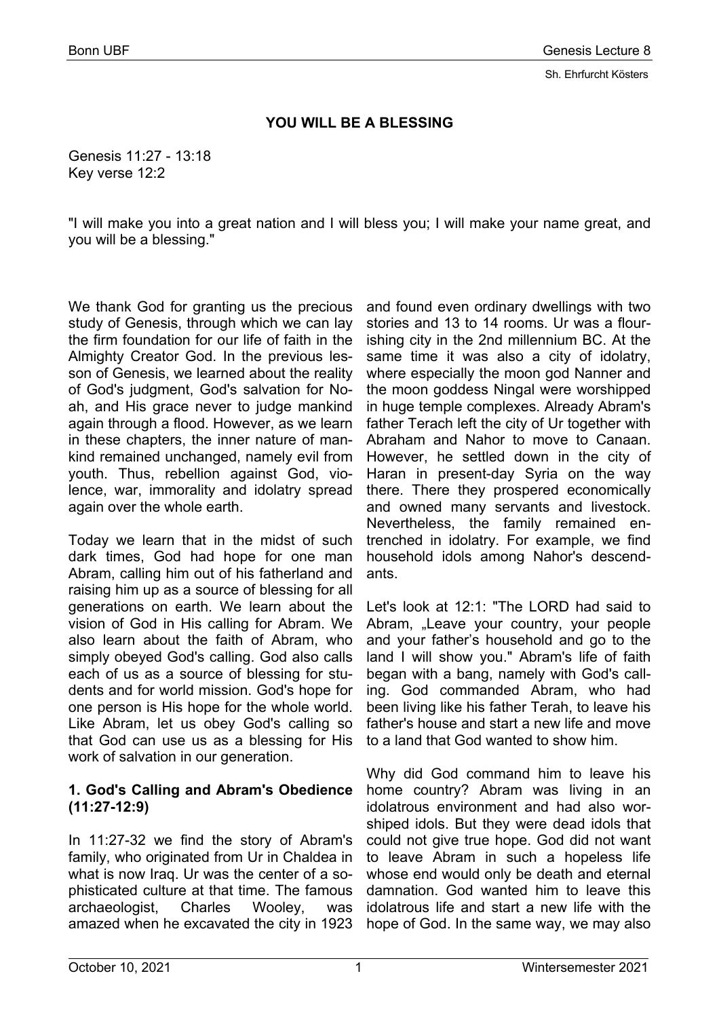## **YOU WILL BE A BLESSING**

Genesis 11:27 - 13:18 Key verse 12:2

"I will make you into a great nation and I will bless you; I will make your name great, and you will be a blessing."

We thank God for granting us the precious study of Genesis, through which we can lay the firm foundation for our life of faith in the Almighty Creator God. In the previous lesson of Genesis, we learned about the reality of God's judgment, God's salvation for Noah, and His grace never to judge mankind again through a flood. However, as we learn in these chapters, the inner nature of mankind remained unchanged, namely evil from youth. Thus, rebellion against God, violence, war, immorality and idolatry spread again over the whole earth.

Today we learn that in the midst of such dark times, God had hope for one man Abram, calling him out of his fatherland and raising him up as a source of blessing for all generations on earth. We learn about the vision of God in His calling for Abram. We also learn about the faith of Abram, who simply obeyed God's calling. God also calls each of us as a source of blessing for students and for world mission. God's hope for one person is His hope for the whole world. Like Abram, let us obey God's calling so that God can use us as a blessing for His work of salvation in our generation.

## **1. God's Calling and Abram's Obedience (11:27-12:9)**

In 11:27-32 we find the story of Abram's family, who originated from Ur in Chaldea in what is now Iraq. Ur was the center of a sophisticated culture at that time. The famous archaeologist, Charles Wooley, was amazed when he excavated the city in 1923

and found even ordinary dwellings with two stories and 13 to 14 rooms. Ur was a flourishing city in the 2nd millennium BC. At the same time it was also a city of idolatry, where especially the moon god Nanner and the moon goddess Ningal were worshipped in huge temple complexes. Already Abram's father Terach left the city of Ur together with Abraham and Nahor to move to Canaan. However, he settled down in the city of Haran in present-day Syria on the way there. There they prospered economically and owned many servants and livestock. Nevertheless, the family remained entrenched in idolatry. For example, we find household idols among Nahor's descendants.

Let's look at 12:1: "The LORD had said to Abram, "Leave your country, your people and your father's household and go to the land I will show you." Abram's life of faith began with a bang, namely with God's calling. God commanded Abram, who had been living like his father Terah, to leave his father's house and start a new life and move to a land that God wanted to show him.

Why did God command him to leave his home country? Abram was living in an idolatrous environment and had also worshiped idols. But they were dead idols that could not give true hope. God did not want to leave Abram in such a hopeless life whose end would only be death and eternal damnation. God wanted him to leave this idolatrous life and start a new life with the hope of God. In the same way, we may also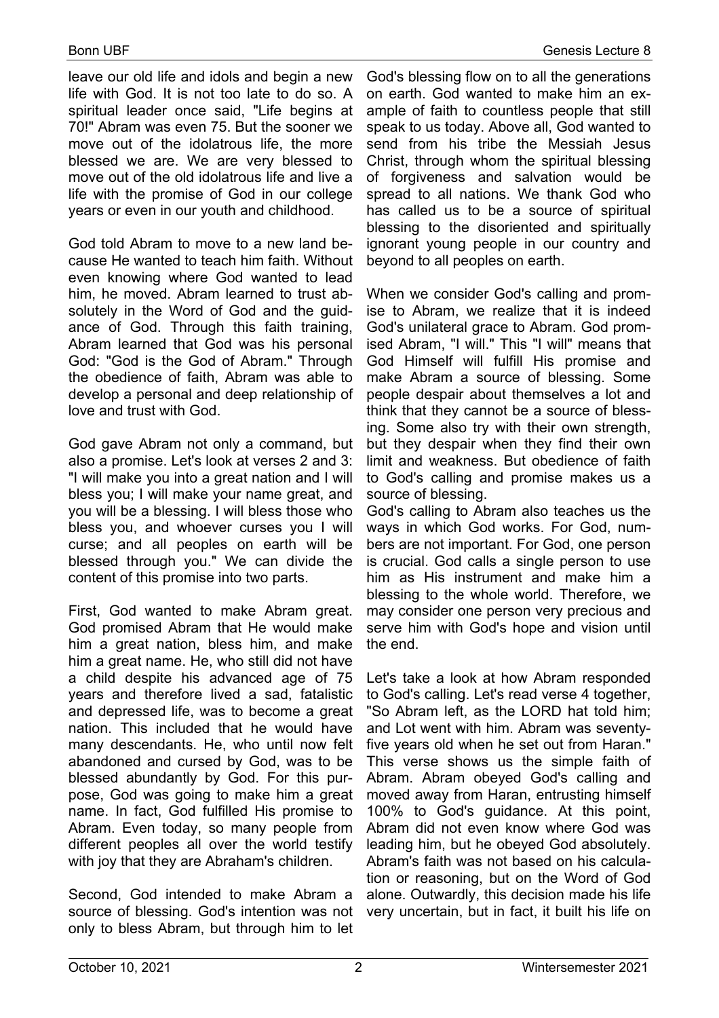leave our old life and idols and begin a new life with God. It is not too late to do so. A spiritual leader once said, "Life begins at 70!" Abram was even 75. But the sooner we move out of the idolatrous life, the more blessed we are. We are very blessed to move out of the old idolatrous life and live a life with the promise of God in our college years or even in our youth and childhood.

God told Abram to move to a new land because He wanted to teach him faith. Without even knowing where God wanted to lead him, he moved. Abram learned to trust absolutely in the Word of God and the guidance of God. Through this faith training, Abram learned that God was his personal God: "God is the God of Abram." Through the obedience of faith, Abram was able to develop a personal and deep relationship of love and trust with God.

God gave Abram not only a command, but also a promise. Let's look at verses 2 and 3: "I will make you into a great nation and I will bless you; I will make your name great, and you will be a blessing. I will bless those who bless you, and whoever curses you I will curse; and all peoples on earth will be blessed through you." We can divide the content of this promise into two parts.

First, God wanted to make Abram great. God promised Abram that He would make him a great nation, bless him, and make him a great name. He, who still did not have a child despite his advanced age of 75 years and therefore lived a sad, fatalistic and depressed life, was to become a great nation. This included that he would have many descendants. He, who until now felt abandoned and cursed by God, was to be blessed abundantly by God. For this purpose, God was going to make him a great name. In fact, God fulfilled His promise to Abram. Even today, so many people from different peoples all over the world testify with joy that they are Abraham's children.

Second, God intended to make Abram a source of blessing. God's intention was not only to bless Abram, but through him to let

God's blessing flow on to all the generations on earth. God wanted to make him an example of faith to countless people that still speak to us today. Above all, God wanted to send from his tribe the Messiah Jesus Christ, through whom the spiritual blessing of forgiveness and salvation would be spread to all nations. We thank God who has called us to be a source of spiritual blessing to the disoriented and spiritually ignorant young people in our country and beyond to all peoples on earth.

When we consider God's calling and promise to Abram, we realize that it is indeed God's unilateral grace to Abram. God promised Abram, "I will." This "I will" means that God Himself will fulfill His promise and make Abram a source of blessing. Some people despair about themselves a lot and think that they cannot be a source of blessing. Some also try with their own strength, but they despair when they find their own limit and weakness. But obedience of faith to God's calling and promise makes us a source of blessing.

God's calling to Abram also teaches us the ways in which God works. For God, numbers are not important. For God, one person is crucial. God calls a single person to use him as His instrument and make him a blessing to the whole world. Therefore, we may consider one person very precious and serve him with God's hope and vision until the end.

Let's take a look at how Abram responded to God's calling. Let's read verse 4 together, "So Abram left, as the LORD hat told him; and Lot went with him. Abram was seventyfive years old when he set out from Haran." This verse shows us the simple faith of Abram. Abram obeyed God's calling and moved away from Haran, entrusting himself 100% to God's guidance. At this point, Abram did not even know where God was leading him, but he obeyed God absolutely. Abram's faith was not based on his calculation or reasoning, but on the Word of God alone. Outwardly, this decision made his life very uncertain, but in fact, it built his life on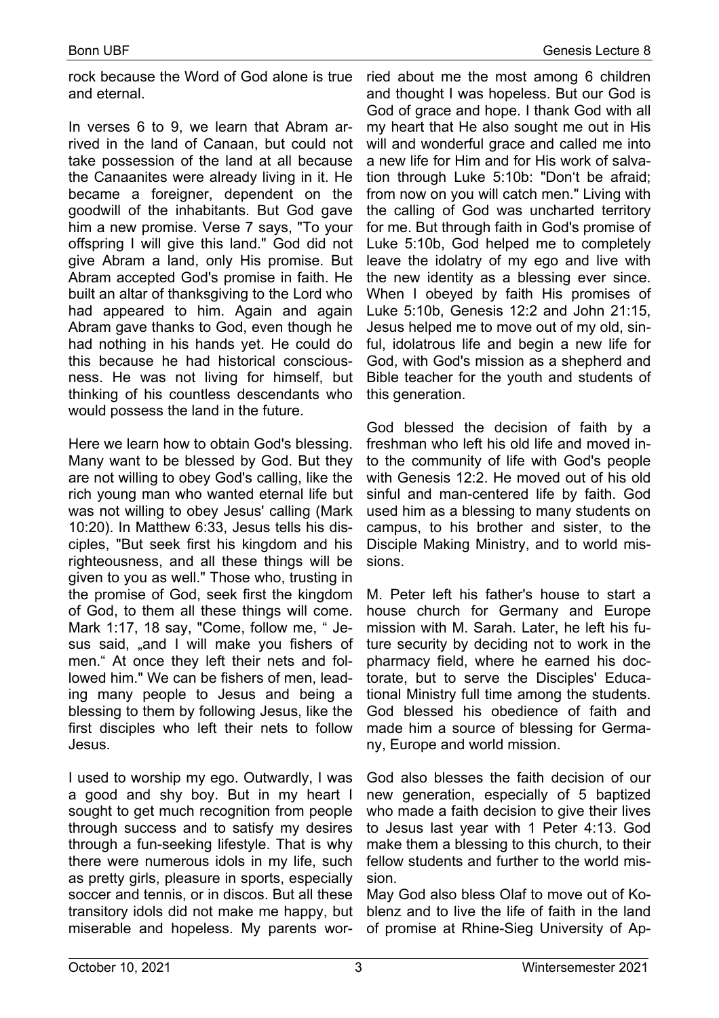rock because the Word of God alone is true and eternal.

In verses 6 to 9, we learn that Abram arrived in the land of Canaan, but could not take possession of the land at all because the Canaanites were already living in it. He became a foreigner, dependent on the goodwill of the inhabitants. But God gave him a new promise. Verse 7 says, "To your offspring I will give this land." God did not give Abram a land, only His promise. But Abram accepted God's promise in faith. He built an altar of thanksgiving to the Lord who had appeared to him. Again and again Abram gave thanks to God, even though he had nothing in his hands yet. He could do this because he had historical consciousness. He was not living for himself, but thinking of his countless descendants who would possess the land in the future.

Here we learn how to obtain God's blessing. Many want to be blessed by God. But they are not willing to obey God's calling, like the rich young man who wanted eternal life but was not willing to obey Jesus' calling (Mark 10:20). In Matthew 6:33, Jesus tells his disciples, "But seek first his kingdom and his righteousness, and all these things will be given to you as well." Those who, trusting in the promise of God, seek first the kingdom of God, to them all these things will come. Mark 1:17, 18 say, "Come, follow me, " Jesus said, "and I will make you fishers of men." At once they left their nets and followed him." We can be fishers of men, leading many people to Jesus and being a blessing to them by following Jesus, like the first disciples who left their nets to follow Jesus.

I used to worship my ego. Outwardly, I was a good and shy boy. But in my heart I sought to get much recognition from people through success and to satisfy my desires through a fun-seeking lifestyle. That is why there were numerous idols in my life, such as pretty girls, pleasure in sports, especially soccer and tennis, or in discos. But all these transitory idols did not make me happy, but miserable and hopeless. My parents wor-

ried about me the most among 6 children and thought I was hopeless. But our God is God of grace and hope. I thank God with all my heart that He also sought me out in His will and wonderful grace and called me into a new life for Him and for His work of salvation through Luke 5:10b: "Don't be afraid; from now on you will catch men." Living with the calling of God was uncharted territory for me. But through faith in God's promise of Luke 5:10b, God helped me to completely leave the idolatry of my ego and live with the new identity as a blessing ever since. When I obeyed by faith His promises of Luke 5:10b, Genesis 12:2 and John 21:15, Jesus helped me to move out of my old, sinful, idolatrous life and begin a new life for God, with God's mission as a shepherd and Bible teacher for the youth and students of this generation.

God blessed the decision of faith by a freshman who left his old life and moved into the community of life with God's people with Genesis 12:2. He moved out of his old sinful and man-centered life by faith. God used him as a blessing to many students on campus, to his brother and sister, to the Disciple Making Ministry, and to world missions.

M. Peter left his father's house to start a house church for Germany and Europe mission with M. Sarah. Later, he left his future security by deciding not to work in the pharmacy field, where he earned his doctorate, but to serve the Disciples' Educational Ministry full time among the students. God blessed his obedience of faith and made him a source of blessing for Germany, Europe and world mission.

God also blesses the faith decision of our new generation, especially of 5 baptized who made a faith decision to give their lives to Jesus last year with 1 Peter 4:13. God make them a blessing to this church, to their fellow students and further to the world mission.

May God also bless Olaf to move out of Koblenz and to live the life of faith in the land of promise at Rhine-Sieg University of Ap-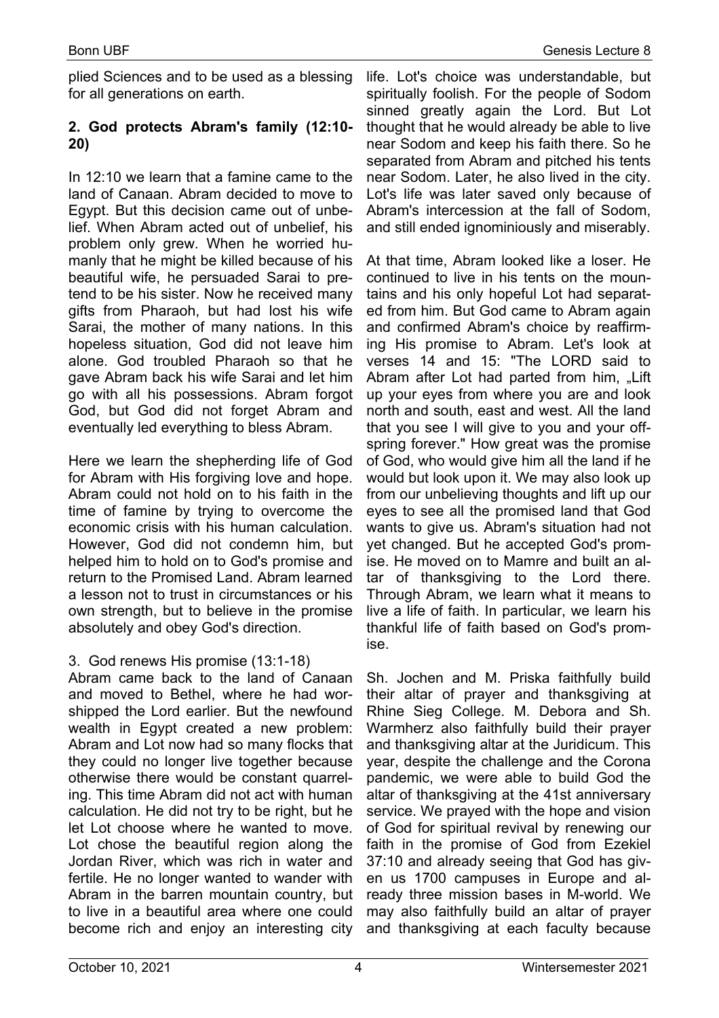plied Sciences and to be used as a blessing for all generations on earth.

## **2. God protects Abram's family (12:10- 20)**

In 12:10 we learn that a famine came to the land of Canaan. Abram decided to move to Egypt. But this decision came out of unbelief. When Abram acted out of unbelief, his problem only grew. When he worried humanly that he might be killed because of his beautiful wife, he persuaded Sarai to pretend to be his sister. Now he received many gifts from Pharaoh, but had lost his wife Sarai, the mother of many nations. In this hopeless situation, God did not leave him alone. God troubled Pharaoh so that he gave Abram back his wife Sarai and let him go with all his possessions. Abram forgot God, but God did not forget Abram and eventually led everything to bless Abram.

Here we learn the shepherding life of God for Abram with His forgiving love and hope. Abram could not hold on to his faith in the time of famine by trying to overcome the economic crisis with his human calculation. However, God did not condemn him, but helped him to hold on to God's promise and return to the Promised Land. Abram learned a lesson not to trust in circumstances or his own strength, but to believe in the promise absolutely and obey God's direction.

## 3. God renews His promise (13:1-18)

Abram came back to the land of Canaan and moved to Bethel, where he had worshipped the Lord earlier. But the newfound wealth in Egypt created a new problem: Abram and Lot now had so many flocks that they could no longer live together because otherwise there would be constant quarreling. This time Abram did not act with human calculation. He did not try to be right, but he let Lot choose where he wanted to move. Lot chose the beautiful region along the Jordan River, which was rich in water and fertile. He no longer wanted to wander with Abram in the barren mountain country, but to live in a beautiful area where one could become rich and enjoy an interesting city

life. Lot's choice was understandable, but spiritually foolish. For the people of Sodom sinned greatly again the Lord. But Lot thought that he would already be able to live near Sodom and keep his faith there. So he separated from Abram and pitched his tents near Sodom. Later, he also lived in the city. Lot's life was later saved only because of Abram's intercession at the fall of Sodom, and still ended ignominiously and miserably.

At that time, Abram looked like a loser. He continued to live in his tents on the mountains and his only hopeful Lot had separated from him. But God came to Abram again and confirmed Abram's choice by reaffirming His promise to Abram. Let's look at verses 14 and 15: "The LORD said to Abram after Lot had parted from him, "Lift up your eyes from where you are and look north and south, east and west. All the land that you see I will give to you and your offspring forever." How great was the promise of God, who would give him all the land if he would but look upon it. We may also look up from our unbelieving thoughts and lift up our eyes to see all the promised land that God wants to give us. Abram's situation had not yet changed. But he accepted God's promise. He moved on to Mamre and built an altar of thanksgiving to the Lord there. Through Abram, we learn what it means to live a life of faith. In particular, we learn his thankful life of faith based on God's promise.

Sh. Jochen and M. Priska faithfully build their altar of prayer and thanksgiving at Rhine Sieg College. M. Debora and Sh. Warmherz also faithfully build their prayer and thanksgiving altar at the Juridicum. This year, despite the challenge and the Corona pandemic, we were able to build God the altar of thanksgiving at the 41st anniversary service. We prayed with the hope and vision of God for spiritual revival by renewing our faith in the promise of God from Ezekiel 37:10 and already seeing that God has given us 1700 campuses in Europe and already three mission bases in M-world. We may also faithfully build an altar of prayer and thanksgiving at each faculty because